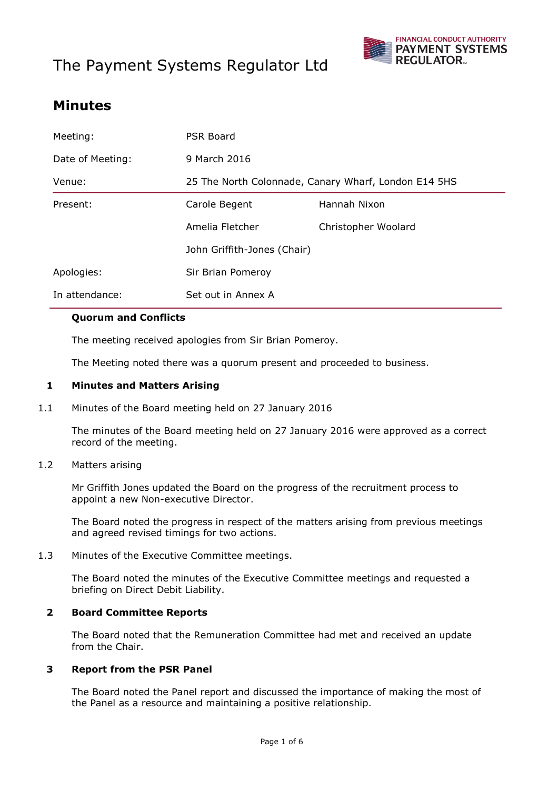# The Payment Systems Regulator Ltd



### **Minutes**

| Meeting:         | PSR Board                                            |                     |
|------------------|------------------------------------------------------|---------------------|
| Date of Meeting: | 9 March 2016                                         |                     |
| Venue:           | 25 The North Colonnade, Canary Wharf, London E14 5HS |                     |
| Present:         | Carole Begent                                        | Hannah Nixon        |
|                  | Amelia Fletcher                                      | Christopher Woolard |
|                  | John Griffith-Jones (Chair)                          |                     |
| Apologies:       | Sir Brian Pomeroy                                    |                     |
| In attendance:   | Set out in Annex A                                   |                     |

#### **Quorum and Conflicts**

The meeting received apologies from Sir Brian Pomeroy.

The Meeting noted there was a quorum present and proceeded to business.

#### **1 Minutes and Matters Arising**

1.1 Minutes of the Board meeting held on 27 January 2016

The minutes of the Board meeting held on 27 January 2016 were approved as a correct record of the meeting.

1.2 Matters arising

Mr Griffith Jones updated the Board on the progress of the recruitment process to appoint a new Non-executive Director.

The Board noted the progress in respect of the matters arising from previous meetings and agreed revised timings for two actions.

1.3 Minutes of the Executive Committee meetings.

The Board noted the minutes of the Executive Committee meetings and requested a briefing on Direct Debit Liability.

#### **2 Board Committee Reports**

The Board noted that the Remuneration Committee had met and received an update from the Chair.

#### **3 Report from the PSR Panel**

The Board noted the Panel report and discussed the importance of making the most of the Panel as a resource and maintaining a positive relationship.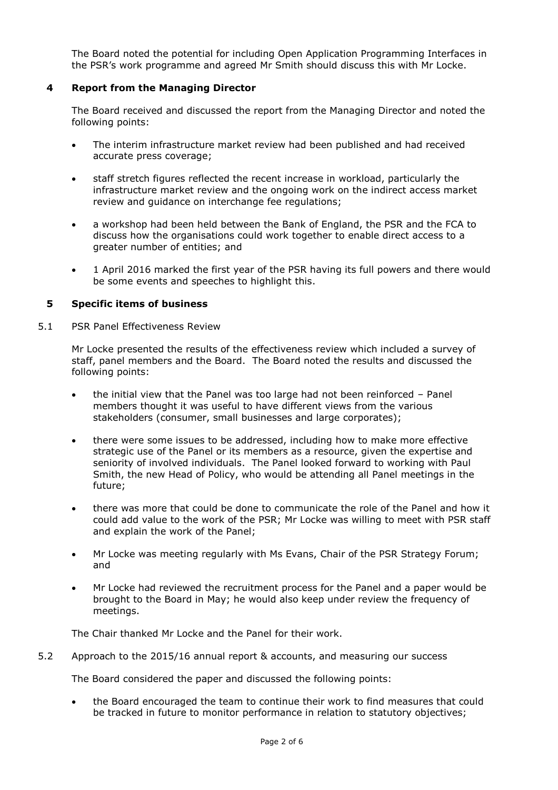The Board noted the potential for including Open Application Programming Interfaces in the PSR's work programme and agreed Mr Smith should discuss this with Mr Locke.

#### **4 Report from the Managing Director**

The Board received and discussed the report from the Managing Director and noted the following points:

- The interim infrastructure market review had been published and had received accurate press coverage;
- staff stretch figures reflected the recent increase in workload, particularly the infrastructure market review and the ongoing work on the indirect access market review and guidance on interchange fee regulations;
- a workshop had been held between the Bank of England, the PSR and the FCA to discuss how the organisations could work together to enable direct access to a greater number of entities; and
- 1 April 2016 marked the first year of the PSR having its full powers and there would be some events and speeches to highlight this.

#### **5 Specific items of business**

5.1 PSR Panel Effectiveness Review

Mr Locke presented the results of the effectiveness review which included a survey of staff, panel members and the Board. The Board noted the results and discussed the following points:

- the initial view that the Panel was too large had not been reinforced Panel members thought it was useful to have different views from the various stakeholders (consumer, small businesses and large corporates);
- there were some issues to be addressed, including how to make more effective strategic use of the Panel or its members as a resource, given the expertise and seniority of involved individuals. The Panel looked forward to working with Paul Smith, the new Head of Policy, who would be attending all Panel meetings in the future;
- there was more that could be done to communicate the role of the Panel and how it could add value to the work of the PSR; Mr Locke was willing to meet with PSR staff and explain the work of the Panel;
- Mr Locke was meeting regularly with Ms Evans, Chair of the PSR Strategy Forum; and
- Mr Locke had reviewed the recruitment process for the Panel and a paper would be brought to the Board in May; he would also keep under review the frequency of meetings.

The Chair thanked Mr Locke and the Panel for their work.

5.2 Approach to the 2015/16 annual report & accounts, and measuring our success

The Board considered the paper and discussed the following points:

 the Board encouraged the team to continue their work to find measures that could be tracked in future to monitor performance in relation to statutory objectives;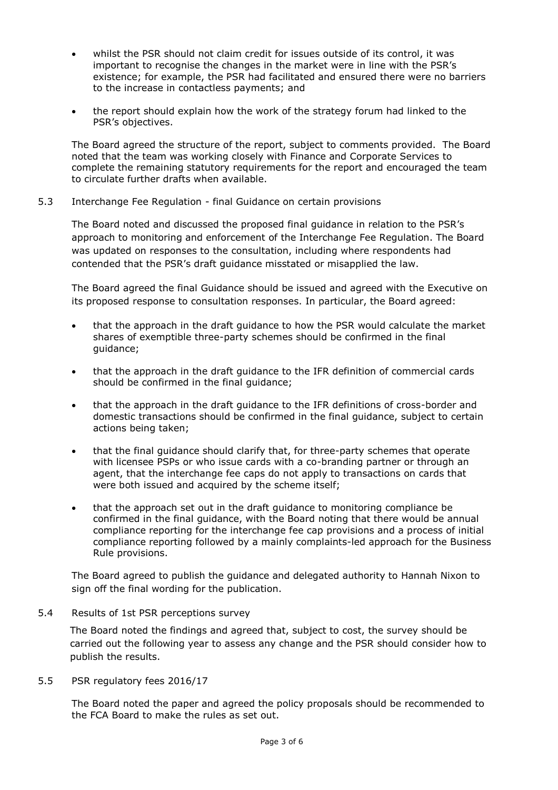- whilst the PSR should not claim credit for issues outside of its control, it was important to recognise the changes in the market were in line with the PSR's existence; for example, the PSR had facilitated and ensured there were no barriers to the increase in contactless payments; and
- the report should explain how the work of the strategy forum had linked to the PSR's objectives.

The Board agreed the structure of the report, subject to comments provided. The Board noted that the team was working closely with Finance and Corporate Services to complete the remaining statutory requirements for the report and encouraged the team to circulate further drafts when available.

5.3 Interchange Fee Regulation - final Guidance on certain provisions

The Board noted and discussed the proposed final guidance in relation to the PSR's approach to monitoring and enforcement of the Interchange Fee Regulation. The Board was updated on responses to the consultation, including where respondents had contended that the PSR's draft guidance misstated or misapplied the law.

The Board agreed the final Guidance should be issued and agreed with the Executive on its proposed response to consultation responses. In particular, the Board agreed:

- that the approach in the draft guidance to how the PSR would calculate the market shares of exemptible three-party schemes should be confirmed in the final guidance;
- that the approach in the draft guidance to the IFR definition of commercial cards should be confirmed in the final guidance;
- that the approach in the draft guidance to the IFR definitions of cross-border and domestic transactions should be confirmed in the final guidance, subject to certain actions being taken;
- that the final guidance should clarify that, for three-party schemes that operate with licensee PSPs or who issue cards with a co-branding partner or through an agent, that the interchange fee caps do not apply to transactions on cards that were both issued and acquired by the scheme itself;
- that the approach set out in the draft guidance to monitoring compliance be confirmed in the final guidance, with the Board noting that there would be annual compliance reporting for the interchange fee cap provisions and a process of initial compliance reporting followed by a mainly complaints-led approach for the Business Rule provisions.

The Board agreed to publish the guidance and delegated authority to Hannah Nixon to sign off the final wording for the publication.

5.4 Results of 1st PSR perceptions survey

The Board noted the findings and agreed that, subject to cost, the survey should be carried out the following year to assess any change and the PSR should consider how to publish the results.

5.5 PSR regulatory fees 2016/17

The Board noted the paper and agreed the policy proposals should be recommended to the FCA Board to make the rules as set out.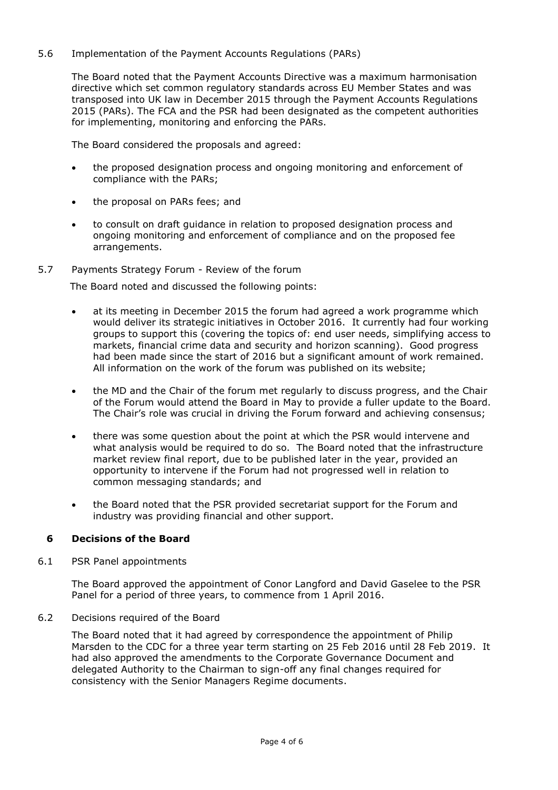5.6 Implementation of the Payment Accounts Regulations (PARs)

The Board noted that the Payment Accounts Directive was a maximum harmonisation directive which set common regulatory standards across EU Member States and was transposed into UK law in December 2015 through the Payment Accounts Regulations 2015 (PARs). The FCA and the PSR had been designated as the competent authorities for implementing, monitoring and enforcing the PARs.

The Board considered the proposals and agreed:

- the proposed designation process and ongoing monitoring and enforcement of compliance with the PARs;
- the proposal on PARs fees; and
- to consult on draft guidance in relation to proposed designation process and ongoing monitoring and enforcement of compliance and on the proposed fee arrangements.
- 5.7 Payments Strategy Forum Review of the forum

The Board noted and discussed the following points:

- at its meeting in December 2015 the forum had agreed a work programme which would deliver its strategic initiatives in October 2016. It currently had four working groups to support this (covering the topics of: end user needs, simplifying access to markets, financial crime data and security and horizon scanning). Good progress had been made since the start of 2016 but a significant amount of work remained. All information on the work of the forum was published on its website;
- the MD and the Chair of the forum met regularly to discuss progress, and the Chair of the Forum would attend the Board in May to provide a fuller update to the Board. The Chair's role was crucial in driving the Forum forward and achieving consensus;
- there was some question about the point at which the PSR would intervene and what analysis would be required to do so. The Board noted that the infrastructure market review final report, due to be published later in the year, provided an opportunity to intervene if the Forum had not progressed well in relation to common messaging standards; and
- the Board noted that the PSR provided secretariat support for the Forum and industry was providing financial and other support.

#### **6 Decisions of the Board**

6.1 PSR Panel appointments

The Board approved the appointment of Conor Langford and David Gaselee to the PSR Panel for a period of three years, to commence from 1 April 2016.

6.2 Decisions required of the Board

The Board noted that it had agreed by correspondence the appointment of Philip Marsden to the CDC for a three year term starting on 25 Feb 2016 until 28 Feb 2019. It had also approved the amendments to the Corporate Governance Document and delegated Authority to the Chairman to sign-off any final changes required for consistency with the Senior Managers Regime documents.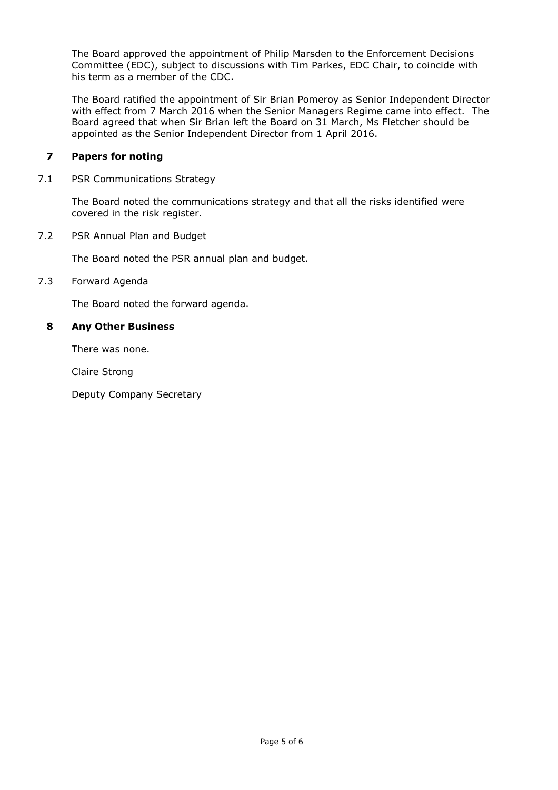The Board approved the appointment of Philip Marsden to the Enforcement Decisions Committee (EDC), subject to discussions with Tim Parkes, EDC Chair, to coincide with his term as a member of the CDC.

The Board ratified the appointment of Sir Brian Pomeroy as Senior Independent Director with effect from 7 March 2016 when the Senior Managers Regime came into effect. The Board agreed that when Sir Brian left the Board on 31 March, Ms Fletcher should be appointed as the Senior Independent Director from 1 April 2016.

#### **7 Papers for noting**

7.1 PSR Communications Strategy

The Board noted the communications strategy and that all the risks identified were covered in the risk register.

7.2 PSR Annual Plan and Budget

The Board noted the PSR annual plan and budget.

#### 7.3 Forward Agenda

The Board noted the forward agenda.

#### **8 Any Other Business**

There was none.

Claire Strong

Deputy Company Secretary